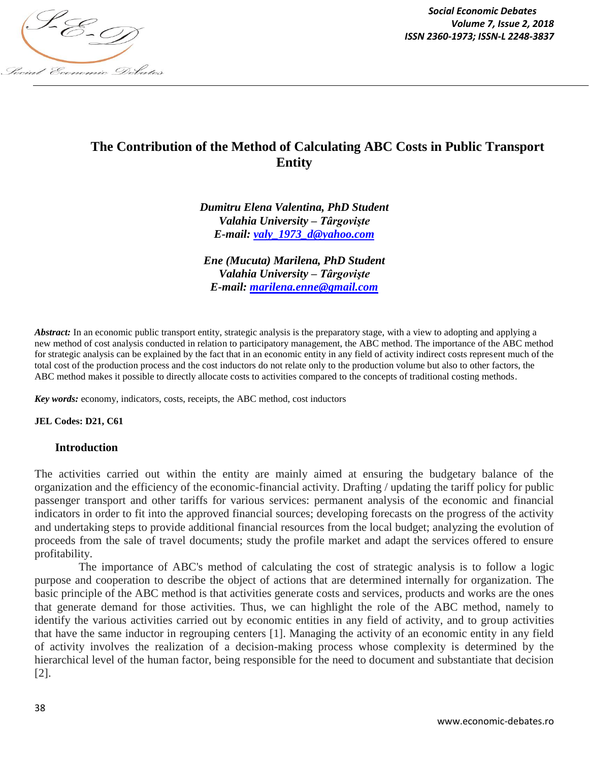

*Social Economic Debates Volume 7, Issue 2, 2018*

# **The Contribution of the Method of Calculating ABC Costs in Public Transport Entity**

*Dumitru Elena Valentina, PhD Student Valahia University – Târgovişte E-mail: valy\_1973\_d@yahoo.com*

*Ene (Mucuta) Marilena, PhD Student Valahia University – Târgovişte E-mail: marilena.enne@gmail.com*

*Abstract:* In an economic public transport entity, strategic analysis is the preparatory stage, with a view to adopting and applying a new method of cost analysis conducted in relation to participatory management, the ABC method. The importance of the ABC method for strategic analysis can be explained by the fact that in an economic entity in any field of activity indirect costs represent much of the total cost of the production process and the cost inductors do not relate only to the production volume but also to other factors, the ABC method makes it possible to directly allocate costs to activities compared to the concepts of traditional costing methods.

*Key words:* economy, indicators, costs, receipts, the ABC method, cost inductors

**JEL Codes: D21, C61**

#### **Introduction**

The activities carried out within the entity are mainly aimed at ensuring the budgetary balance of the organization and the efficiency of the economic-financial activity. Drafting / updating the tariff policy for public passenger transport and other tariffs for various services: permanent analysis of the economic and financial indicators in order to fit into the approved financial sources; developing forecasts on the progress of the activity and undertaking steps to provide additional financial resources from the local budget; analyzing the evolution of proceeds from the sale of travel documents; study the profile market and adapt the services offered to ensure profitability.

The importance of ABC's method of calculating the cost of strategic analysis is to follow a logic purpose and cooperation to describe the object of actions that are determined internally for organization. The basic principle of the ABC method is that activities generate costs and services, products and works are the ones that generate demand for those activities. Thus, we can highlight the role of the ABC method, namely to identify the various activities carried out by economic entities in any field of activity, and to group activities that have the same inductor in regrouping centers [1]. Managing the activity of an economic entity in any field of activity involves the realization of a decision-making process whose complexity is determined by the hierarchical level of the human factor, being responsible for the need to document and substantiate that decision [2].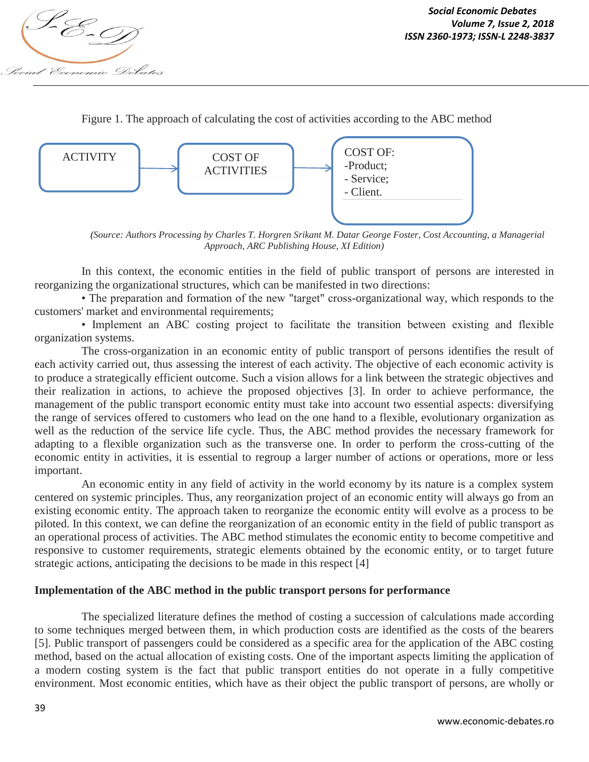

Figure 1. The approach of calculating the cost of activities according to the ABC method



*(Source: Authors Processing by Charles T. Horgren Srikant M. Datar George Foster, Cost Accounting, a Managerial Approach, ARC Publishing House, XI Edition)*

In this context, the economic entities in the field of public transport of persons are interested in reorganizing the organizational structures, which can be manifested in two directions:

• The preparation and formation of the new "target" cross-organizational way, which responds to the customers' market and environmental requirements;

• Implement an ABC costing project to facilitate the transition between existing and flexible organization systems.

The cross-organization in an economic entity of public transport of persons identifies the result of each activity carried out, thus assessing the interest of each activity. The objective of each economic activity is to produce a strategically efficient outcome. Such a vision allows for a link between the strategic objectives and their realization in actions, to achieve the proposed objectives [3]. In order to achieve performance, the management of the public transport economic entity must take into account two essential aspects: diversifying the range of services offered to customers who lead on the one hand to a flexible, evolutionary organization as well as the reduction of the service life cycle. Thus, the ABC method provides the necessary framework for adapting to a flexible organization such as the transverse one. In order to perform the cross-cutting of the economic entity in activities, it is essential to regroup a larger number of actions or operations, more or less important.

An economic entity in any field of activity in the world economy by its nature is a complex system centered on systemic principles. Thus, any reorganization project of an economic entity will always go from an existing economic entity. The approach taken to reorganize the economic entity will evolve as a process to be piloted. In this context, we can define the reorganization of an economic entity in the field of public transport as an operational process of activities. The ABC method stimulates the economic entity to become competitive and responsive to customer requirements, strategic elements obtained by the economic entity, or to target future strategic actions, anticipating the decisions to be made in this respect [4]

## **Implementation of the ABC method in the public transport persons for performance**

The specialized literature defines the method of costing a succession of calculations made according to some techniques merged between them, in which production costs are identified as the costs of the bearers [5]. Public transport of passengers could be considered as a specific area for the application of the ABC costing method, based on the actual allocation of existing costs. One of the important aspects limiting the application of a modern costing system is the fact that public transport entities do not operate in a fully competitive environment. Most economic entities, which have as their object the public transport of persons, are wholly or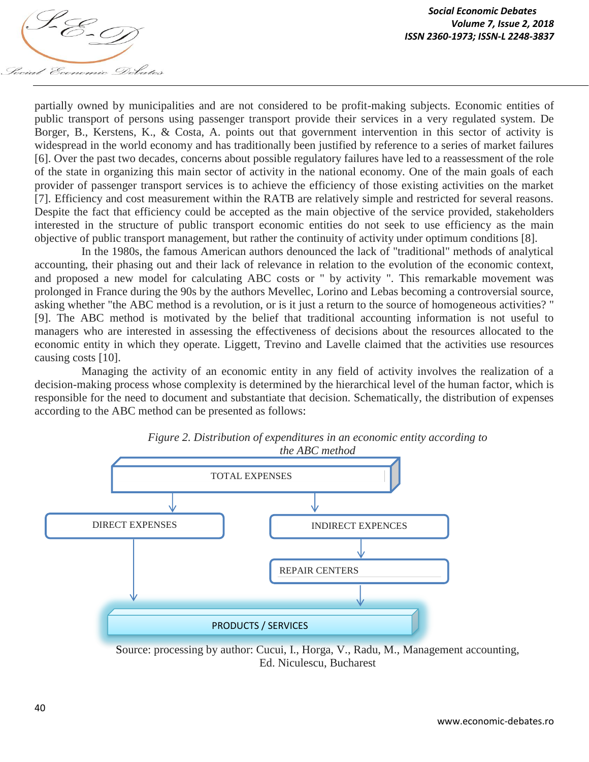

partially owned by municipalities and are not considered to be profit-making subjects. Economic entities of public transport of persons using passenger transport provide their services in a very regulated system. De Borger, B., Kerstens, K., & Costa, A. points out that government intervention in this sector of activity is widespread in the world economy and has traditionally been justified by reference to a series of market failures [6]. Over the past two decades, concerns about possible regulatory failures have led to a reassessment of the role of the state in organizing this main sector of activity in the national economy. One of the main goals of each provider of passenger transport services is to achieve the efficiency of those existing activities on the market [7]. Efficiency and cost measurement within the RATB are relatively simple and restricted for several reasons. Despite the fact that efficiency could be accepted as the main objective of the service provided, stakeholders interested in the structure of public transport economic entities do not seek to use efficiency as the main objective of public transport management, but rather the continuity of activity under optimum conditions [8].

In the 1980s, the famous American authors denounced the lack of "traditional" methods of analytical accounting, their phasing out and their lack of relevance in relation to the evolution of the economic context, and proposed a new model for calculating ABC costs or " by activity ". This remarkable movement was prolonged in France during the 90s by the authors Mevellec, Lorino and Lebas becoming a controversial source, asking whether "the ABC method is a revolution, or is it just a return to the source of homogeneous activities? " [9]. The ABC method is motivated by the belief that traditional accounting information is not useful to managers who are interested in assessing the effectiveness of decisions about the resources allocated to the economic entity in which they operate. Liggett, Trevino and Lavelle claimed that the activities use resources causing costs [10].

Managing the activity of an economic entity in any field of activity involves the realization of a decision-making process whose complexity is determined by the hierarchical level of the human factor, which is responsible for the need to document and substantiate that decision. Schematically, the distribution of expenses according to the ABC method can be presented as follows:



*Figure 2. Distribution of expenditures in an economic entity according to the ABC method*

Source: processing by author: Cucui, I., Horga, V., Radu, M., Management accounting, Ed. Niculescu, Bucharest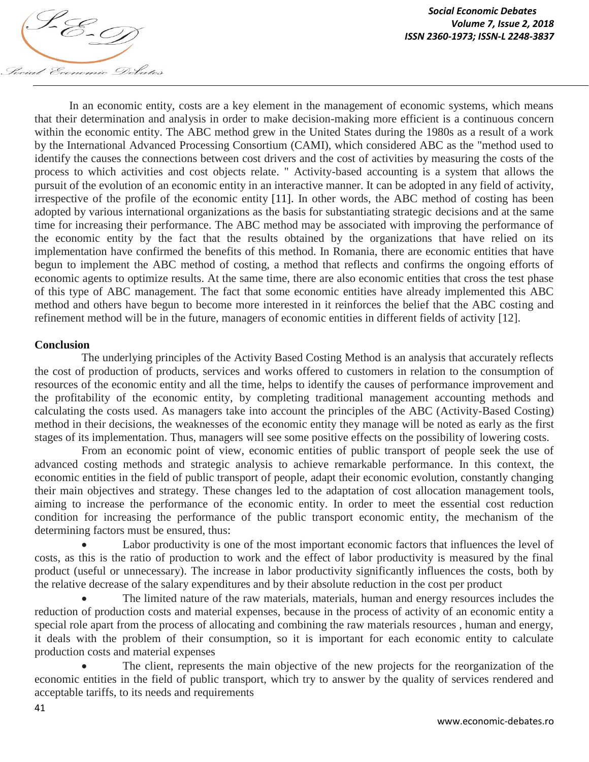

In an economic entity, costs are a key element in the management of economic systems, which means that their determination and analysis in order to make decision-making more efficient is a continuous concern within the economic entity. The ABC method grew in the United States during the 1980s as a result of a work by the International Advanced Processing Consortium (CAMI), which considered ABC as the "method used to identify the causes the connections between cost drivers and the cost of activities by measuring the costs of the process to which activities and cost objects relate. " Activity-based accounting is a system that allows the pursuit of the evolution of an economic entity in an interactive manner. It can be adopted in any field of activity, irrespective of the profile of the economic entity [11]. In other words, the ABC method of costing has been adopted by various international organizations as the basis for substantiating strategic decisions and at the same time for increasing their performance. The ABC method may be associated with improving the performance of the economic entity by the fact that the results obtained by the organizations that have relied on its implementation have confirmed the benefits of this method. In Romania, there are economic entities that have begun to implement the ABC method of costing, a method that reflects and confirms the ongoing efforts of economic agents to optimize results. At the same time, there are also economic entities that cross the test phase of this type of ABC management. The fact that some economic entities have already implemented this ABC method and others have begun to become more interested in it reinforces the belief that the ABC costing and refinement method will be in the future, managers of economic entities in different fields of activity [12].

#### **Conclusion**

The underlying principles of the Activity Based Costing Method is an analysis that accurately reflects the cost of production of products, services and works offered to customers in relation to the consumption of resources of the economic entity and all the time, helps to identify the causes of performance improvement and the profitability of the economic entity, by completing traditional management accounting methods and calculating the costs used. As managers take into account the principles of the ABC (Activity-Based Costing) method in their decisions, the weaknesses of the economic entity they manage will be noted as early as the first stages of its implementation. Thus, managers will see some positive effects on the possibility of lowering costs.

From an economic point of view, economic entities of public transport of people seek the use of advanced costing methods and strategic analysis to achieve remarkable performance. In this context, the economic entities in the field of public transport of people, adapt their economic evolution, constantly changing their main objectives and strategy. These changes led to the adaptation of cost allocation management tools, aiming to increase the performance of the economic entity. In order to meet the essential cost reduction condition for increasing the performance of the public transport economic entity, the mechanism of the determining factors must be ensured, thus:

 Labor productivity is one of the most important economic factors that influences the level of costs, as this is the ratio of production to work and the effect of labor productivity is measured by the final product (useful or unnecessary). The increase in labor productivity significantly influences the costs, both by the relative decrease of the salary expenditures and by their absolute reduction in the cost per product

 The limited nature of the raw materials, materials, human and energy resources includes the reduction of production costs and material expenses, because in the process of activity of an economic entity a special role apart from the process of allocating and combining the raw materials resources , human and energy, it deals with the problem of their consumption, so it is important for each economic entity to calculate production costs and material expenses

 The client, represents the main objective of the new projects for the reorganization of the economic entities in the field of public transport, which try to answer by the quality of services rendered and acceptable tariffs, to its needs and requirements